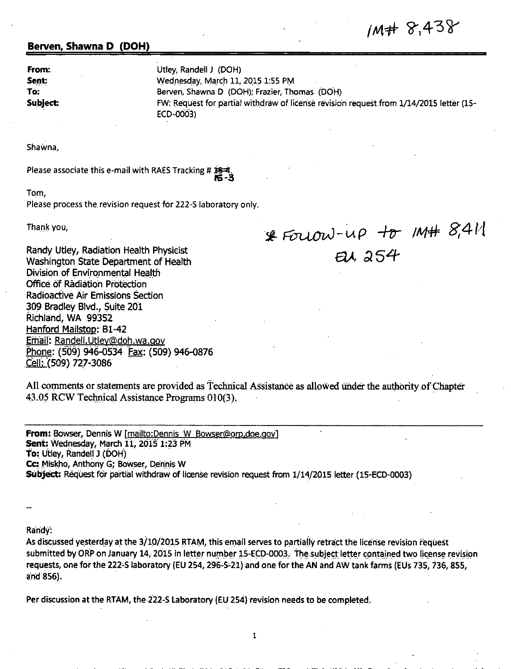## 1M# 8,438

## **Berven, Shawna D (DOH)**

**From:** Utley, Randell J (DOH)

**Sent: Sent: Wednesday, March 11, 2015 1:55 PM To:** Berven, Shawna D (DOH); Frazier, Thomas (DOH) **Subject:** FW: Request for partial withdraw of license revision request from 1/14/2015 letter (15- ECD-0003)

Shawna,

Please associate this e-mail with RAES Tracking # 15-4

Tom,

Please process the. revision request for 222-S laboratory only.

Than\_k you,

 $*$  Fouow-up to M# 8,411 *W,* ~54-

Randy Utley, Radiation Health Physicist Washington State Department of Health Division of Environmental Health Office. of Radiation Protection Radioactive Air Emissions Section 309 Bradley Blvd., Suite 201 Richland, WA 99352 Hanford Mailstop: Bl-42 Email: Randell.Utley@doh.wa.gov Phone: (509) 946-0534 Fax: (509) 946-0876 Cell: (509) 727-3086

All comments or statements are provided as Technical Assistance as allowed under the authority of Chapter 43.05 RCW Technical Assistance Programs 010(3).

**From:** Bowser, Dennis W (mailto:Dennis W Bowser@orp.doe.gov1 **Sent: Wednesday, March 11, 2015 1:23 PM To: Utley, Randell J (DOH) Cc:** Miskho, Anthony G; Bowser, Dennis W Subject: Request for partial withdraw of license revision request from  $1/14/2015$  letter (15-ECD-0003)

Randy:

As discussed yesterday at the 3/10/2015 RTAM, this email serves to partially retract the license revision request submitted by ORP on January 14, 2015 in letter number 15-ECD-0003. The subject letter contained two license revision requests, one for the 222-S laboratory (EU 254, 296-S-21) and one for the AN and AW tank farms (EUs 735, 736, 855, and 856).

1

Per discussion at the RTAM, the 222-S Laboratory (EU 254) revision needs to be completed.